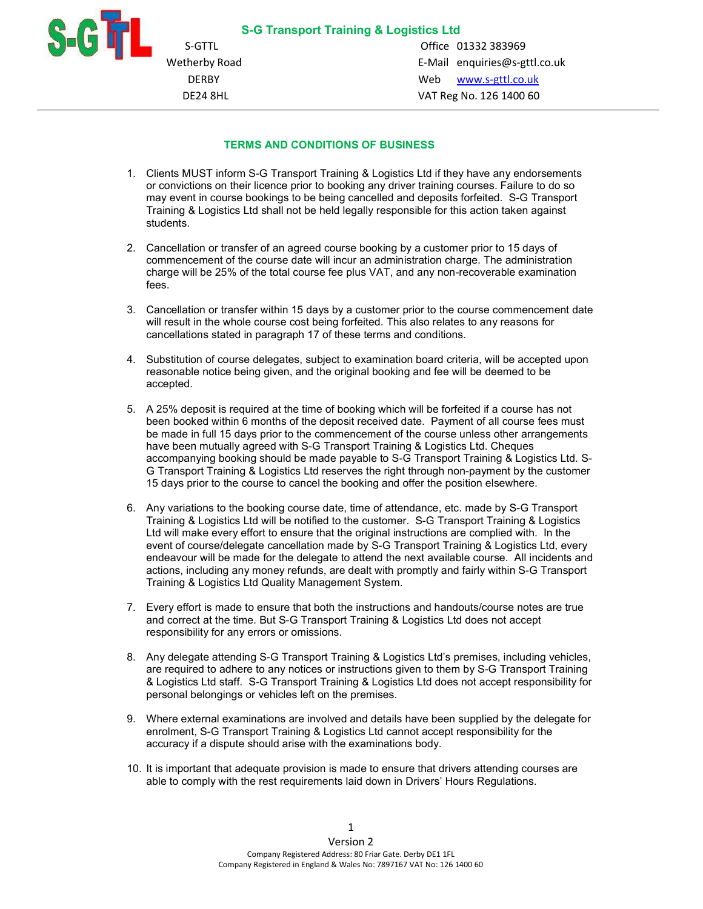

i<br>I

S-GTTL Office 01332 383969 Wetherby Road E-Mail enquiries@s-gttl.co.uk DERBY Web www.s-gttl.co.uk DE24 8HL VAT Reg No. 126 1400 60

## TERMS AND CONDITIONS OF BUSINESS

- 1. Clients MUST inform S-G Transport Training & Logistics Ltd if they have any endorsements or convictions on their licence prior to booking any driver training courses. Failure to do so may event in course bookings to be being cancelled and deposits forfeited. S-G Transport Training & Logistics Ltd shall not be held legally responsible for this action taken against students.
- 2. Cancellation or transfer of an agreed course booking by a customer prior to 15 days of commencement of the course date will incur an administration charge. The administration charge will be 25% of the total course fee plus VAT, and any non-recoverable examination fees.
- 3. Cancellation or transfer within 15 days by a customer prior to the course commencement date will result in the whole course cost being forfeited. This also relates to any reasons for cancellations stated in paragraph 17 of these terms and conditions.
- 4. Substitution of course delegates, subject to examination board criteria, will be accepted upon reasonable notice being given, and the original booking and fee will be deemed to be accepted.
- 5. A 25% deposit is required at the time of booking which will be forfeited if a course has not been booked within 6 months of the deposit received date. Payment of all course fees must be made in full 15 days prior to the commencement of the course unless other arrangements have been mutually agreed with S-G Transport Training & Logistics Ltd. Cheques accompanying booking should be made payable to S-G Transport Training & Logistics Ltd. S-G Transport Training & Logistics Ltd reserves the right through non-payment by the customer 15 days prior to the course to cancel the booking and offer the position elsewhere.
- 6. Any variations to the booking course date, time of attendance, etc. made by S-G Transport Training & Logistics Ltd will be notified to the customer. S-G Transport Training & Logistics Ltd will make every effort to ensure that the original instructions are complied with. In the event of course/delegate cancellation made by S-G Transport Training & Logistics Ltd, every endeavour will be made for the delegate to attend the next available course. All incidents and actions, including any money refunds, are dealt with promptly and fairly within S-G Transport Training & Logistics Ltd Quality Management System.
- 7. Every effort is made to ensure that both the instructions and handouts/course notes are true and correct at the time. But S-G Transport Training & Logistics Ltd does not accept responsibility for any errors or omissions.
- 8. Any delegate attending S-G Transport Training & Logistics Ltd's premises, including vehicles, are required to adhere to any notices or instructions given to them by S-G Transport Training & Logistics Ltd staff. S-G Transport Training & Logistics Ltd does not accept responsibility for personal belongings or vehicles left on the premises.
- 9. Where external examinations are involved and details have been supplied by the delegate for enrolment, S-G Transport Training & Logistics Ltd cannot accept responsibility for the accuracy if a dispute should arise with the examinations body.
- 10. It is important that adequate provision is made to ensure that drivers attending courses are able to comply with the rest requirements laid down in Drivers' Hours Regulations.